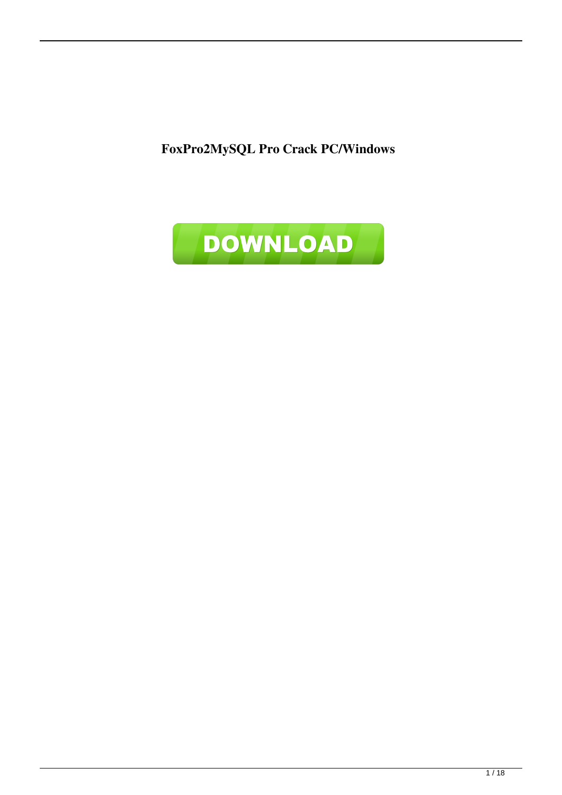**FoxPro2MySQL Pro Crack PC/Windows**

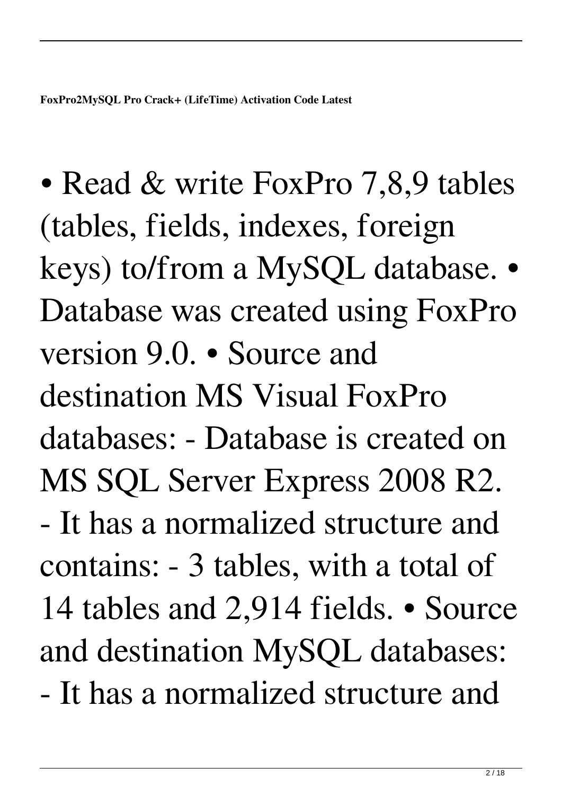• Read & write FoxPro 7,8,9 tables (tables, fields, indexes, foreign keys) to/from a MySQL database. • Database was created using FoxPro version 9.0. • Source and destination MS Visual FoxPro databases: - Database is created on MS SQL Server Express 2008 R2. - It has a normalized structure and contains: - 3 tables, with a total of 14 tables and 2,914 fields. • Source and destination MySQL databases: - It has a normalized structure and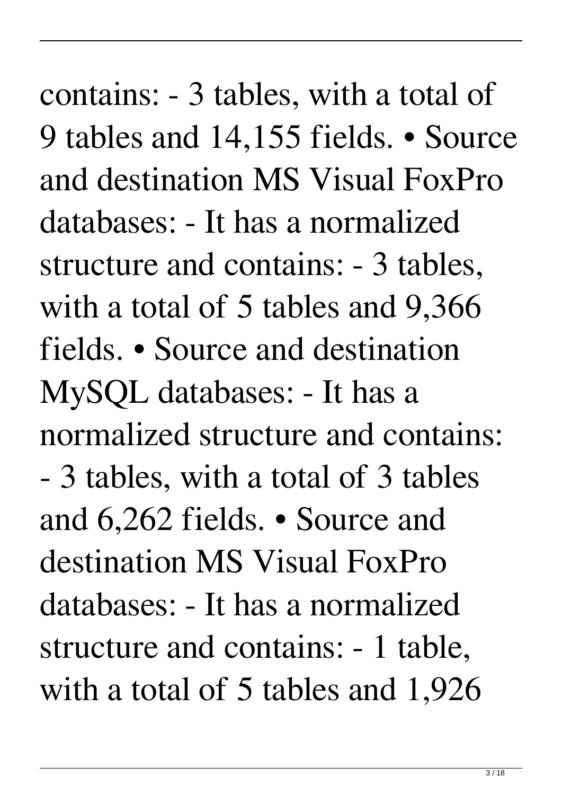contains: - 3 tables, with a total of 9 tables and 14,155 fields. • Source and destination MS Visual FoxPro databases: - It has a normalized structure and contains: - 3 tables, with a total of 5 tables and 9,366 fields. • Source and destination MySQL databases: - It has a normalized structure and contains: - 3 tables, with a total of 3 tables and 6,262 fields. • Source and destination MS Visual FoxPro databases: - It has a normalized structure and contains: - 1 table, with a total of 5 tables and 1,926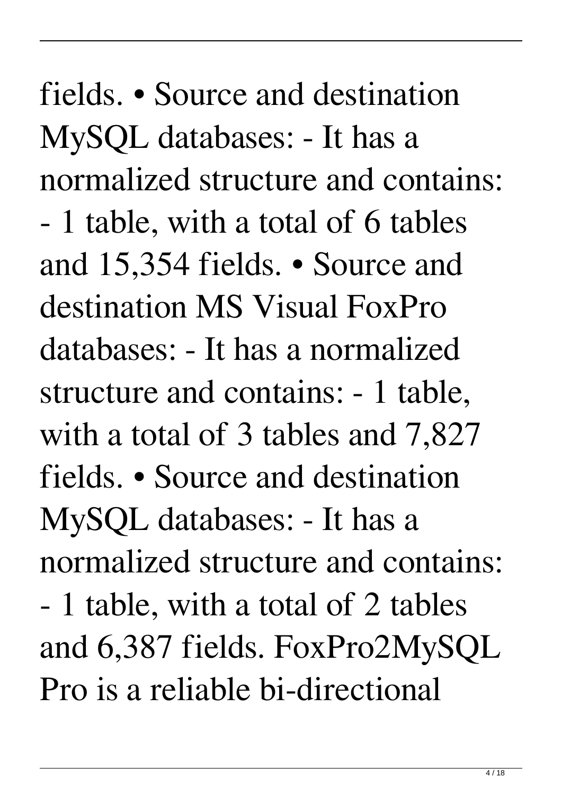fields. • Source and destination MySQL databases: - It has a normalized structure and contains: - 1 table, with a total of 6 tables and 15,354 fields. • Source and destination MS Visual FoxPro databases: - It has a normalized structure and contains: - 1 table, with a total of 3 tables and 7,827 fields. • Source and destination MySQL databases: - It has a normalized structure and contains: - 1 table, with a total of 2 tables and 6,387 fields. FoxPro2MySQL Pro is a reliable bi-directional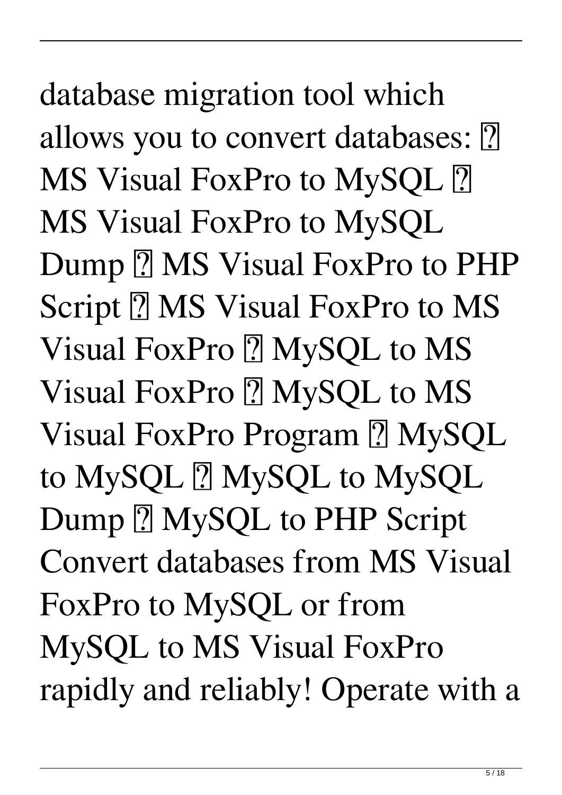database migration tool which allows you to convert databases: **?** MS Visual FoxPro to MySQL [?] MS Visual FoxPro to MySQL Dump **7 MS Visual FoxPro to PHP** Script **? MS Visual FoxPro to MS** Visual FoxPro ? MySQL to MS Visual FoxPro ? MySQL to MS Visual FoxPro Program ? MySQL to MySQL 2 MySQL to MySQL Dump **MySQL** to PHP Script Convert databases from MS Visual FoxPro to MySQL or from MySQL to MS Visual FoxPro rapidly and reliably! Operate with a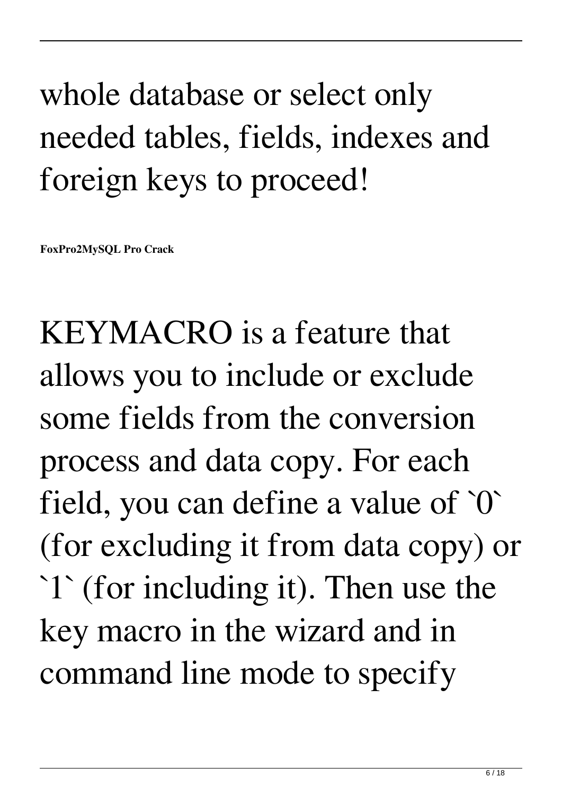## whole database or select only needed tables, fields, indexes and foreign keys to proceed!

**FoxPro2MySQL Pro Crack**

KEYMACRO is a feature that allows you to include or exclude some fields from the conversion process and data copy. For each field, you can define a value of `0` (for excluding it from data copy) or `1` (for including it). Then use the key macro in the wizard and in command line mode to specify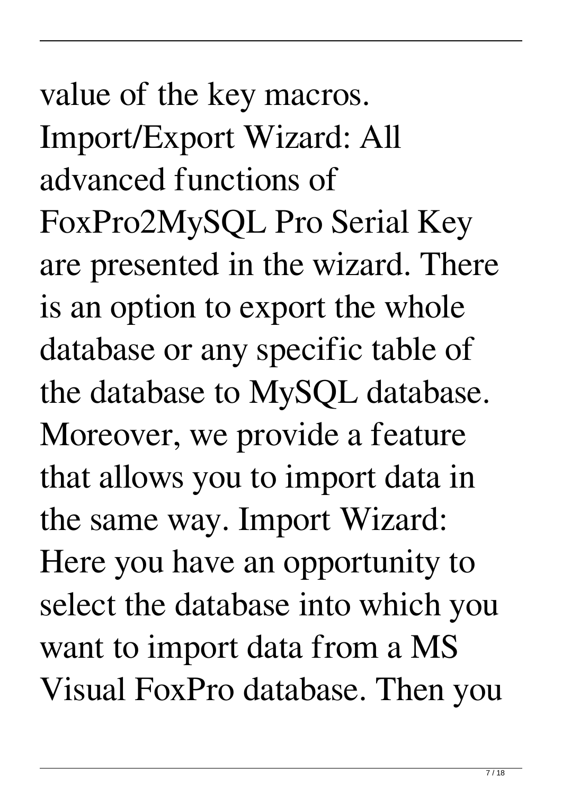value of the key macros. Import/Export Wizard: All advanced functions of FoxPro2MySQL Pro Serial Key are presented in the wizard. There is an option to export the whole database or any specific table of the database to MySQL database. Moreover, we provide a feature that allows you to import data in the same way. Import Wizard: Here you have an opportunity to select the database into which you want to import data from a MS Visual FoxPro database. Then you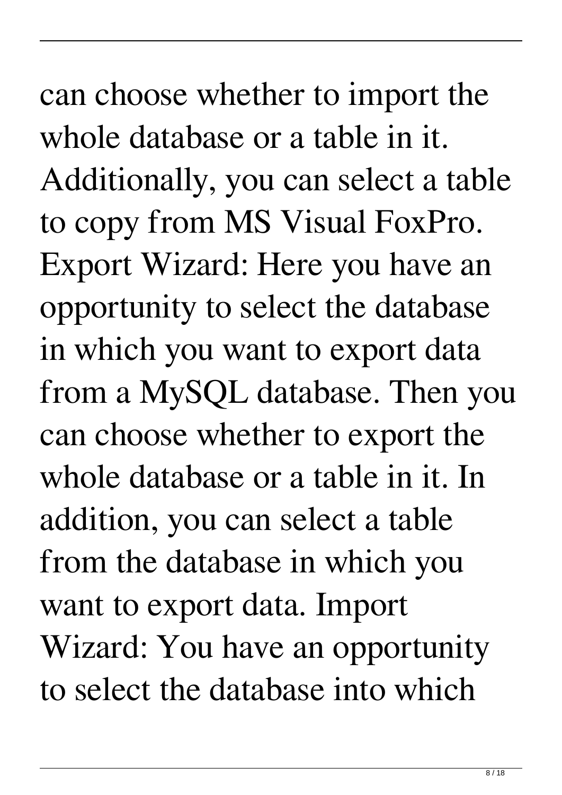can choose whether to import the whole database or a table in it. Additionally, you can select a table to copy from MS Visual FoxPro. Export Wizard: Here you have an opportunity to select the database in which you want to export data from a MySQL database. Then you can choose whether to export the whole database or a table in it. In addition, you can select a table from the database in which you want to export data. Import Wizard: You have an opportunity to select the database into which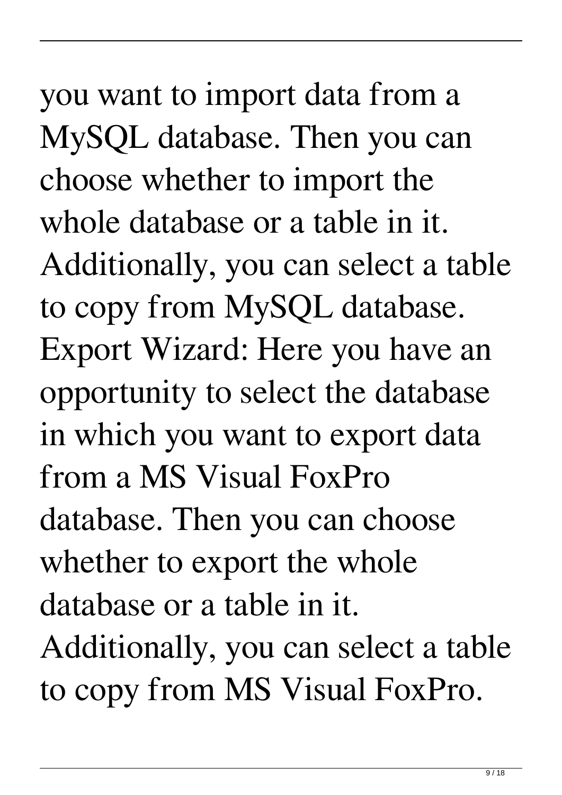you want to import data from a MySQL database. Then you can choose whether to import the whole database or a table in it. Additionally, you can select a table to copy from MySQL database. Export Wizard: Here you have an opportunity to select the database in which you want to export data from a MS Visual FoxPro database. Then you can choose whether to export the whole database or a table in it.

Additionally, you can select a table to copy from MS Visual FoxPro.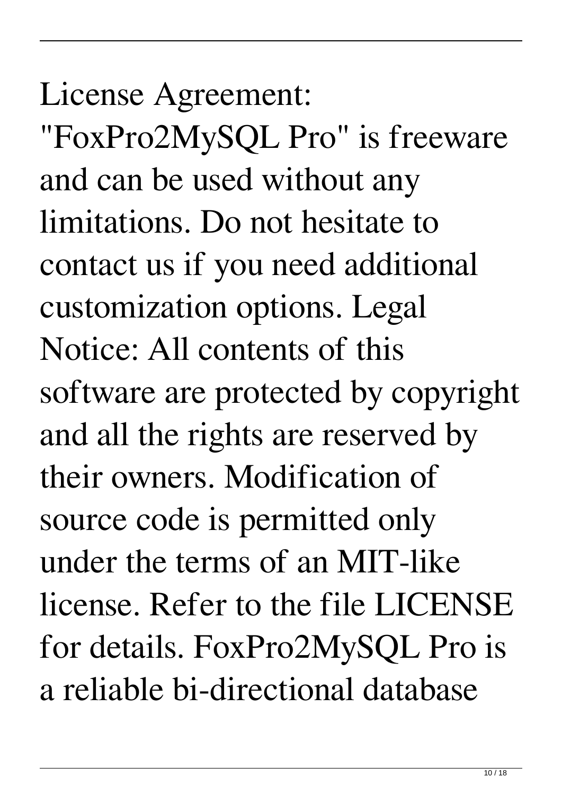## License Agreement:

"FoxPro2MySQL Pro" is freeware and can be used without any limitations. Do not hesitate to contact us if you need additional customization options. Legal Notice: All contents of this software are protected by copyright and all the rights are reserved by their owners. Modification of source code is permitted only under the terms of an MIT-like license. Refer to the file LICENSE for details. FoxPro2MySQL Pro is a reliable bi-directional database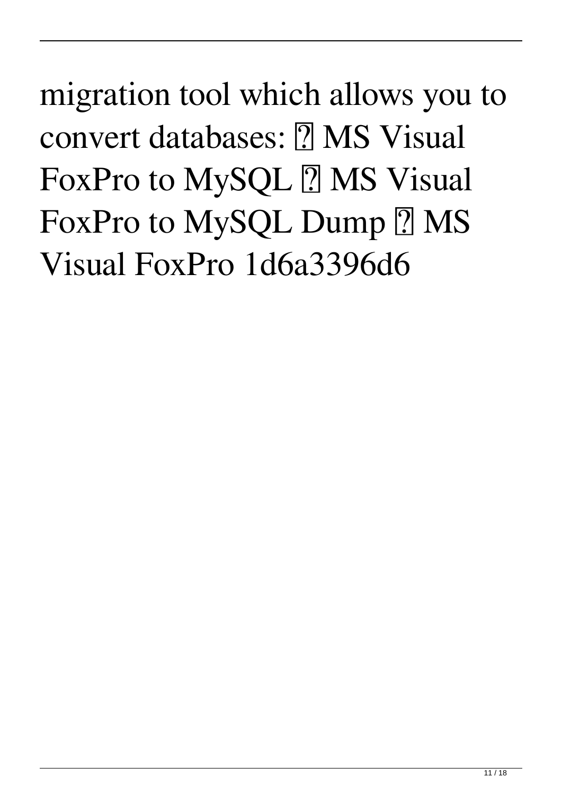migration tool which allows you to convert databases: **7 MS Visual** FoxPro to MySQL ? MS Visual FoxPro to MySQL Dump ? MS Visual FoxPro 1d6a3396d6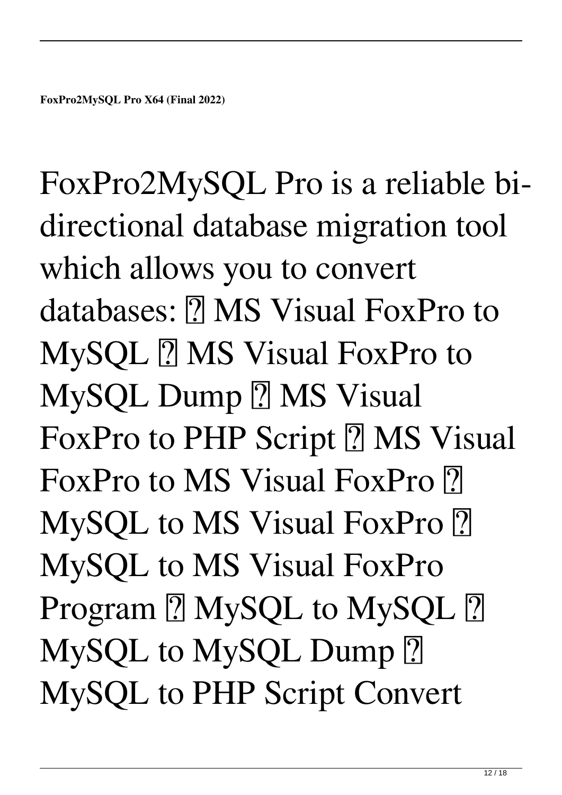FoxPro2MySQL Pro is a reliable bidirectional database migration tool which allows you to convert databases: **7 MS** Visual FoxPro to MySQL **7** MS Visual FoxPro to MySQL Dump ? MS Visual FoxPro to PHP Script **7** MS Visual FoxPro to MS Visual FoxPro ? MySQL to MS Visual FoxPro 2 MySQL to MS Visual FoxPro Program ? MySQL to MySQL ? MySQL to MySQL Dump ? MySQL to PHP Script Convert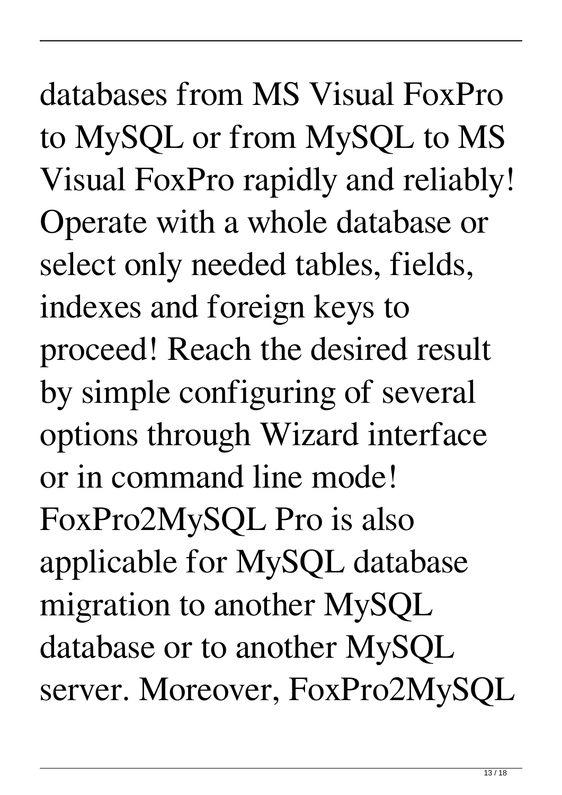databases from MS Visual FoxPro to MySQL or from MySQL to MS Visual FoxPro rapidly and reliably! Operate with a whole database or select only needed tables, fields, indexes and foreign keys to proceed! Reach the desired result by simple configuring of several options through Wizard interface or in command line mode! FoxPro2MySQL Pro is also applicable for MySQL database migration to another MySQL database or to another MySQL server. Moreover, FoxPro2MySQL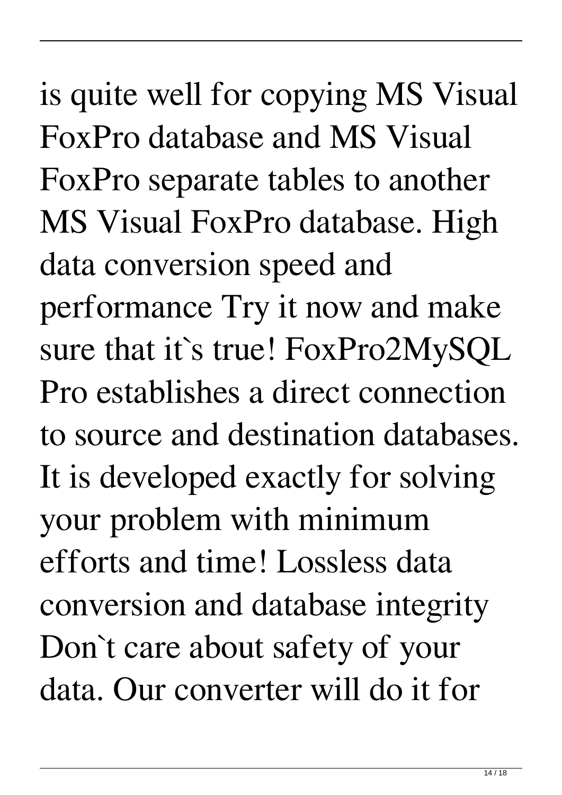is quite well for copying MS Visual FoxPro database and MS Visual FoxPro separate tables to another MS Visual FoxPro database. High data conversion speed and performance Try it now and make sure that it`s true! FoxPro2MySQL Pro establishes a direct connection to source and destination databases. It is developed exactly for solving your problem with minimum efforts and time! Lossless data conversion and database integrity Don`t care about safety of your data. Our converter will do it for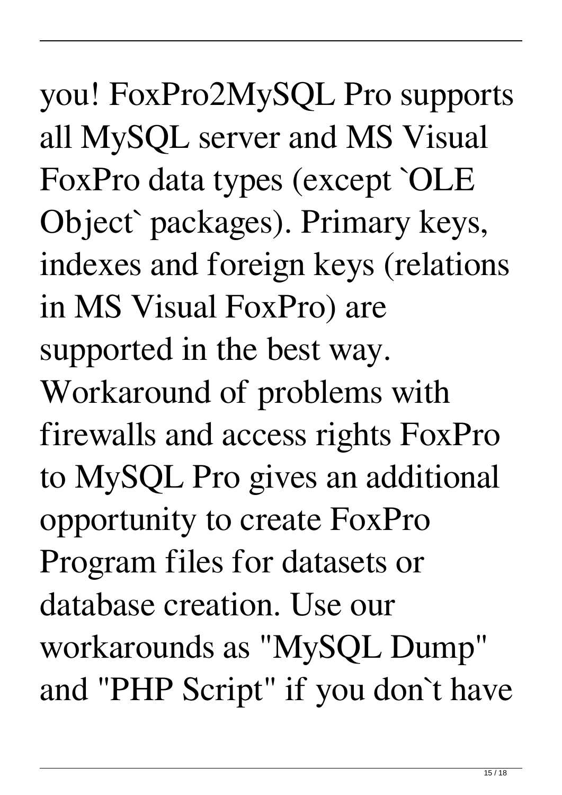you! FoxPro2MySQL Pro supports all MySQL server and MS Visual FoxPro data types (except `OLE Object` packages). Primary keys, indexes and foreign keys (relations in MS Visual FoxPro) are supported in the best way. Workaround of problems with firewalls and access rights FoxPro to MySQL Pro gives an additional opportunity to create FoxPro Program files for datasets or database creation. Use our workarounds as "MySQL Dump" and "PHP Script" if you don`t have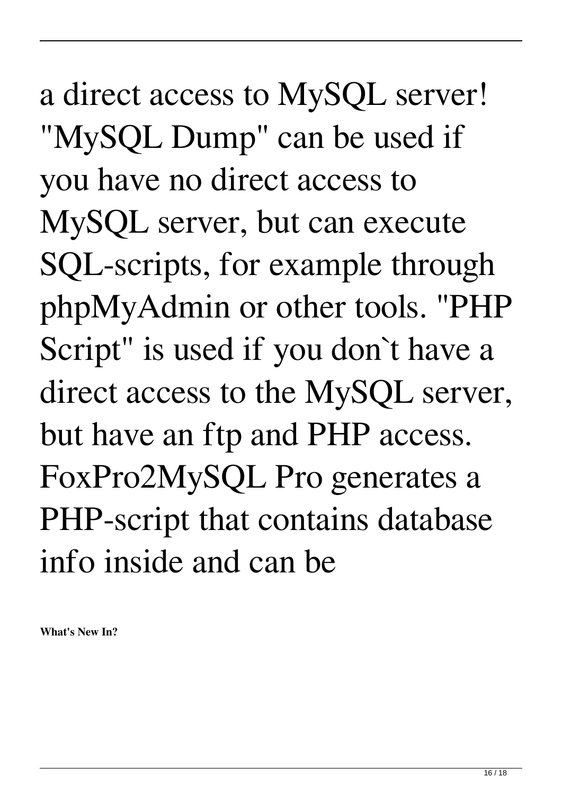a direct access to MySQL server! "MySQL Dump" can be used if you have no direct access to MySQL server, but can execute SQL-scripts, for example through phpMyAdmin or other tools. "PHP Script" is used if you don`t have a direct access to the MySQL server, but have an ftp and PHP access. FoxPro2MySQL Pro generates a PHP-script that contains database info inside and can be

**What's New In?**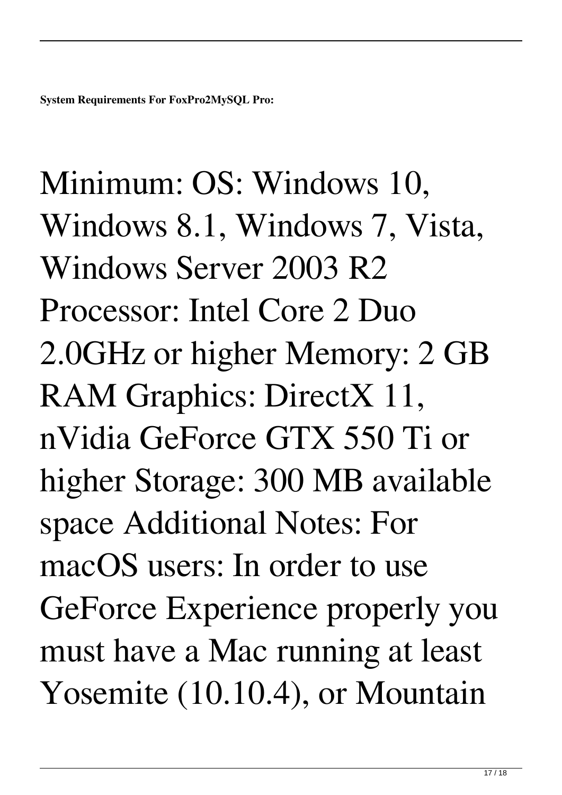Minimum: OS: Windows 10, Windows 8.1, Windows 7, Vista, Windows Server 2003 R2 Processor: Intel Core 2 Duo 2.0GHz or higher Memory: 2 GB RAM Graphics: DirectX 11, nVidia GeForce GTX 550 Ti or higher Storage: 300 MB available space Additional Notes: For macOS users: In order to use GeForce Experience properly you must have a Mac running at least Yosemite (10.10.4), or Mountain